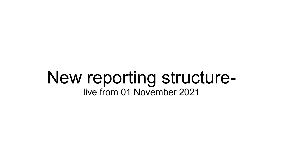## New reporting structurelive from 01 November 2021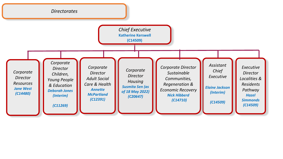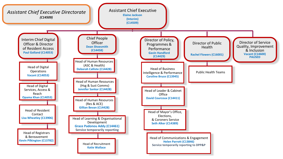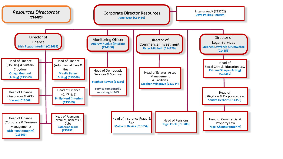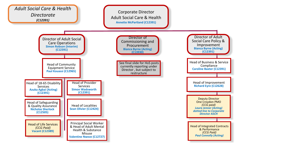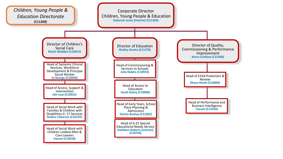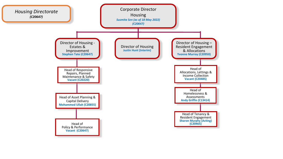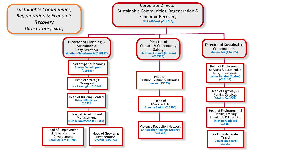